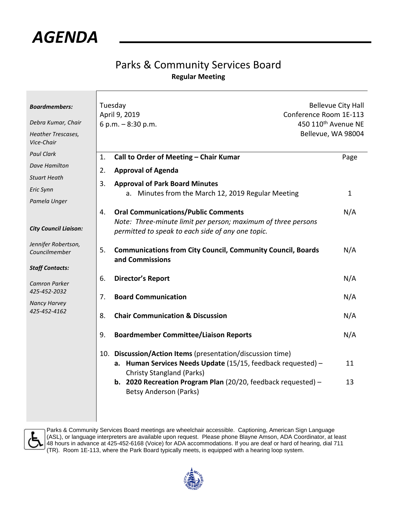

## Parks & Community Services Board **Regular Meeting**

| <b>Boardmembers:</b><br>Debra Kumar, Chair<br><b>Heather Trescases,</b><br>Vice-Chair                                                         | Tuesday<br>April 9, 2019<br>6 p.m. $-8:30$ p.m.                                                                                                                                                                                                                         | <b>Bellevue City Hall</b><br>Conference Room 1E-113<br>450 110 <sup>th</sup> Avenue NE<br>Bellevue, WA 98004 |  |
|-----------------------------------------------------------------------------------------------------------------------------------------------|-------------------------------------------------------------------------------------------------------------------------------------------------------------------------------------------------------------------------------------------------------------------------|--------------------------------------------------------------------------------------------------------------|--|
| <b>Paul Clark</b>                                                                                                                             | Call to Order of Meeting - Chair Kumar<br>1.                                                                                                                                                                                                                            | Page                                                                                                         |  |
| Dave Hamilton                                                                                                                                 | 2.<br><b>Approval of Agenda</b>                                                                                                                                                                                                                                         |                                                                                                              |  |
| <b>Stuart Heath</b>                                                                                                                           | <b>Approval of Park Board Minutes</b><br>3.                                                                                                                                                                                                                             |                                                                                                              |  |
| Eric Synn                                                                                                                                     | a. Minutes from the March 12, 2019 Regular Meeting                                                                                                                                                                                                                      | $\mathbf{1}$                                                                                                 |  |
| Pamela Unger                                                                                                                                  |                                                                                                                                                                                                                                                                         |                                                                                                              |  |
| <b>City Council Liaison:</b>                                                                                                                  | <b>Oral Communications/Public Comments</b><br>4.<br>Note: Three-minute limit per person; maximum of three persons<br>permitted to speak to each side of any one topic.                                                                                                  | N/A                                                                                                          |  |
| Jennifer Robertson,<br>Councilmember<br><b>Staff Contacts:</b><br><b>Camron Parker</b><br>425-452-2032<br><b>Nancy Harvey</b><br>425-452-4162 | <b>Communications from City Council, Community Council, Boards</b><br>5.<br>and Commissions                                                                                                                                                                             | N/A                                                                                                          |  |
|                                                                                                                                               | <b>Director's Report</b><br>6.                                                                                                                                                                                                                                          | N/A                                                                                                          |  |
|                                                                                                                                               | <b>Board Communication</b><br>7.                                                                                                                                                                                                                                        | N/A                                                                                                          |  |
|                                                                                                                                               | <b>Chair Communication &amp; Discussion</b><br>8.                                                                                                                                                                                                                       | N/A                                                                                                          |  |
|                                                                                                                                               | <b>Boardmember Committee/Liaison Reports</b><br>9.                                                                                                                                                                                                                      | N/A                                                                                                          |  |
|                                                                                                                                               | 10. Discussion/Action Items (presentation/discussion time)<br>a. Human Services Needs Update (15/15, feedback requested) -<br><b>Christy Stangland (Parks)</b><br>b. 2020 Recreation Program Plan $(20/20, 100)$ feedback requested) -<br><b>Betsy Anderson (Parks)</b> | 11<br>13                                                                                                     |  |



Parks & Community Services Board meetings are wheelchair accessible. Captioning, American Sign Language (ASL), or language interpreters are available upon request. Please phone Blayne Amson, ADA Coordinator, at least 48 hours in advance at 425-452-6168 (Voice) for ADA accommodations. If you are deaf or hard of hearing, dial 711 (TR). Room 1E-113, where the Park Board typically meets, is equipped with a hearing loop system.